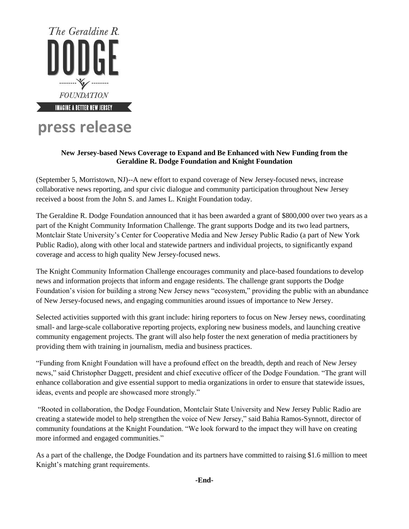

# **press release**

## **New Jersey-based News Coverage to Expand and Be Enhanced with New Funding from the Geraldine R. Dodge Foundation and Knight Foundation**

(September 5, Morristown, NJ)--A new effort to expand coverage of New Jersey-focused news, increase collaborative news reporting, and spur civic dialogue and community participation throughout New Jersey received a boost from the John S. and James L. Knight Foundation today.

The Geraldine R. Dodge Foundation announced that it has been awarded a grant of \$800,000 over two years as a part of the Knight Community Information Challenge. The grant supports Dodge and its two lead partners, Montclair State University's Center for Cooperative Media and New Jersey Public Radio (a part of New York Public Radio), along with other local and statewide partners and individual projects, to significantly expand coverage and access to high quality New Jersey-focused news.

The Knight Community Information Challenge encourages community and place-based foundations to develop news and information projects that inform and engage residents. The challenge grant supports the Dodge Foundation's vision for building a strong New Jersey news "ecosystem," providing the public with an abundance of New Jersey-focused news, and engaging communities around issues of importance to New Jersey.

Selected activities supported with this grant include: hiring reporters to focus on New Jersey news, coordinating small- and large-scale collaborative reporting projects, exploring new business models, and launching creative community engagement projects. The grant will also help foster the next generation of media practitioners by providing them with training in journalism, media and business practices.

"Funding from Knight Foundation will have a profound effect on the breadth, depth and reach of New Jersey news," said Christopher Daggett, president and chief executive officer of the Dodge Foundation. "The grant will enhance collaboration and give essential support to media organizations in order to ensure that statewide issues, ideas, events and people are showcased more strongly."

"Rooted in collaboration, the Dodge Foundation, Montclair State University and New Jersey Public Radio are creating a statewide model to help strengthen the voice of New Jersey," said Bahia Ramos-Synnott, director of community foundations at the Knight Foundation. "We look forward to the impact they will have on creating more informed and engaged communities."

As a part of the challenge, the Dodge Foundation and its partners have committed to raising \$1.6 million to meet Knight's matching grant requirements.